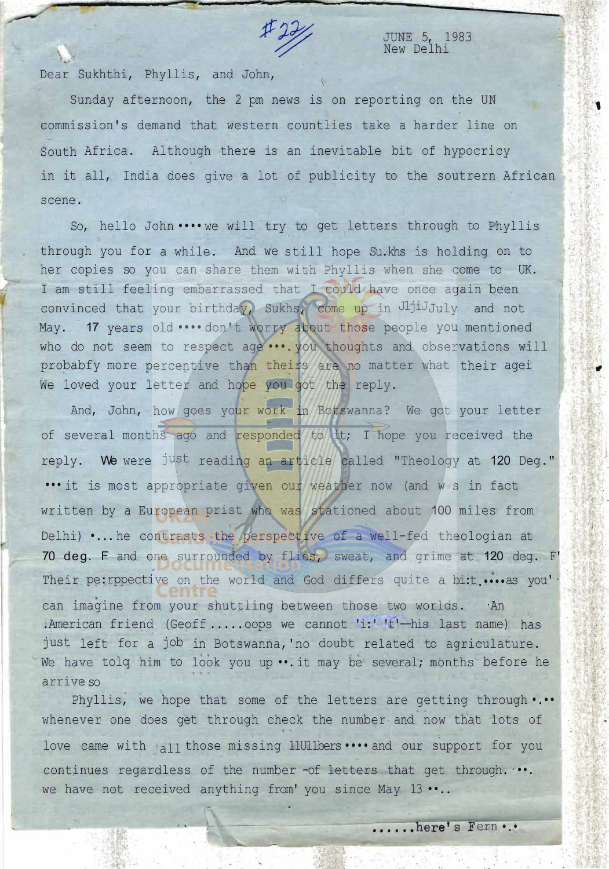

JUNE 5, 1983 New Delhi

Dear Sukhthi, Phyllis, and John,

·,  $\cdot$  .

Sunday afternoon, the 2 pm news is on reporting on the UN commission's demand that western countlies take a harder line on South Africa. Although there is an inevitable bit of hypocricy in it all, India does give a lot of publicity to the soutrern African scene.

 $\overline{1}$ 

So, hello John •••• we will try to get letters through to Phyllis through you for a while. And we still hope Su.khs is holding on to her copies so you can share them with Phyllis when she come to UK. I am still feeling embarrassed that I could have once again been convinced that your birthday, Sukhs, come up in JljiJ<sub>July</sub> and not May. 17 years old .... don't worry about those people you mentioned who do not seem to respect age ... you thoughts and observations will probabfy more percentive than theirs are no matter what their agei We loved your letter and hope you got the reply.

And, John, how goes your work in Botswanna? We got your letter of several months ago and responded to it; I hope you received the reply. We were just reading an article called "Theology at 120 Deg." ••• it is most appropriate given our weather now (and w s in fact written by a European prist who was stationed about 100 miles from Delhi) •... he contrasts the perspective of a well-fed theologian at 70 deg. F and one surrounded by flies, sweat, and grime at 120 deg. F' Their pe: rppective on the world and God differs quite a bi:t .... as you' can imagine from your shuttling between those two worlds. · An .American friend (Geoff ..... oops we cannot 'i:' 't'--his last name) has just left for a job in Botswanna,'no doubt related to agriculature. We have tolq him to look you up ... it may be several; months before he arrive so

Phyllis, we hope that some of the letters are getting through •.•• whenever one does get through check the number and now that lots of love came with  $a_{11}$  those missing 11U11bers •••• and our support for you continues regardless of the number -of letters that get through.  $\cdots$ . we have not received anything from' you since May 13 ••..